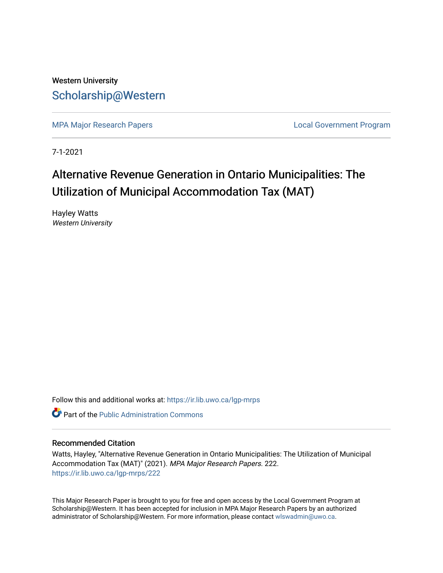Western University [Scholarship@Western](https://ir.lib.uwo.ca/) 

[MPA Major Research Papers](https://ir.lib.uwo.ca/lgp-mrps) **Local Government Program** 

7-1-2021

# Alternative Revenue Generation in Ontario Municipalities: The Utilization of Municipal Accommodation Tax (MAT)

Hayley Watts Western University

Follow this and additional works at: [https://ir.lib.uwo.ca/lgp-mrps](https://ir.lib.uwo.ca/lgp-mrps?utm_source=ir.lib.uwo.ca%2Flgp-mrps%2F222&utm_medium=PDF&utm_campaign=PDFCoverPages) 

**C** Part of the [Public Administration Commons](http://network.bepress.com/hgg/discipline/398?utm_source=ir.lib.uwo.ca%2Flgp-mrps%2F222&utm_medium=PDF&utm_campaign=PDFCoverPages)

#### Recommended Citation

Watts, Hayley, "Alternative Revenue Generation in Ontario Municipalities: The Utilization of Municipal Accommodation Tax (MAT)" (2021). MPA Major Research Papers. 222. [https://ir.lib.uwo.ca/lgp-mrps/222](https://ir.lib.uwo.ca/lgp-mrps/222?utm_source=ir.lib.uwo.ca%2Flgp-mrps%2F222&utm_medium=PDF&utm_campaign=PDFCoverPages) 

This Major Research Paper is brought to you for free and open access by the Local Government Program at Scholarship@Western. It has been accepted for inclusion in MPA Major Research Papers by an authorized administrator of Scholarship@Western. For more information, please contact [wlswadmin@uwo.ca](mailto:wlswadmin@uwo.ca).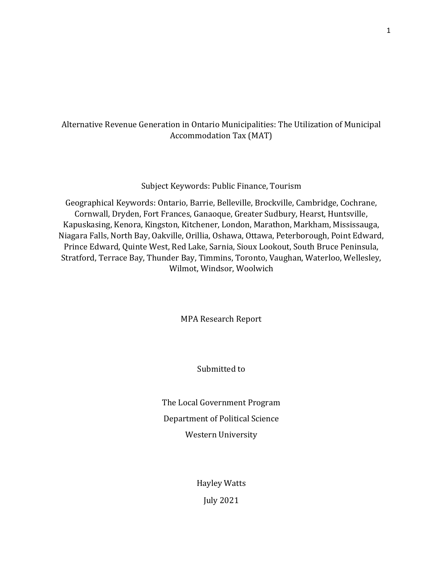### Alternative Revenue Generation in Ontario Municipalities: The Utilization of Municipal Accommodation Tax (MAT)

#### Subject Keywords: Public Finance, Tourism

Geographical Keywords: Ontario, Barrie, Belleville, Brockville, Cambridge, Cochrane, Cornwall, Dryden, Fort Frances, Ganaoque, Greater Sudbury, Hearst, Huntsville, Kapuskasing, Kenora, Kingston, Kitchener, London, Marathon, Markham, Mississauga, Niagara Falls, North Bay, Oakville, Orillia, Oshawa, Ottawa, Peterborough, Point Edward, Prince Edward, Quinte West, Red Lake, Sarnia, Sioux Lookout, South Bruce Peninsula, Stratford, Terrace Bay, Thunder Bay, Timmins, Toronto, Vaughan, Waterloo, Wellesley, Wilmot, Windsor, Woolwich

MPA Research Report

Submitted to

The Local Government Program Department of Political Science Western University

> Hayley Watts July 2021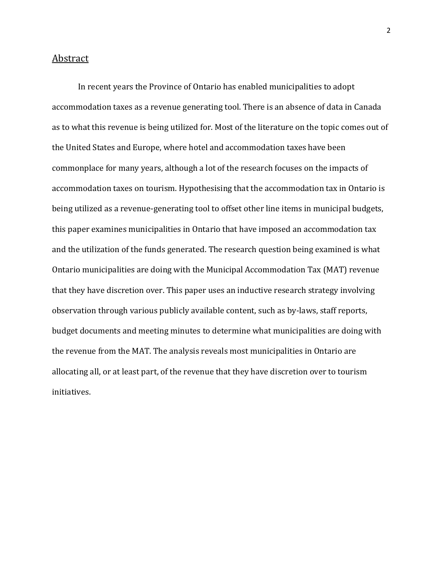#### <span id="page-2-0"></span>Abstract

In recent years the Province of Ontario has enabled municipalities to adopt accommodation taxes as a revenue generating tool. There is an absence of data in Canada as to what this revenue is being utilized for. Most of the literature on the topic comes out of the United States and Europe, where hotel and accommodation taxes have been commonplace for many years, although a lot of the research focuses on the impacts of accommodation taxes on tourism. Hypothesising that the accommodation tax in Ontario is being utilized as a revenue-generating tool to offset other line items in municipal budgets, this paper examines municipalities in Ontario that have imposed an accommodation tax and the utilization of the funds generated. The research question being examined is what Ontario municipalities are doing with the Municipal Accommodation Tax (MAT) revenue that they have discretion over. This paper uses an inductive research strategy involving observation through various publicly available content, such as by-laws, staff reports, budget documents and meeting minutes to determine what municipalities are doing with the revenue from the MAT. The analysis reveals most municipalities in Ontario are allocating all, or at least part, of the revenue that they have discretion over to tourism initiatives.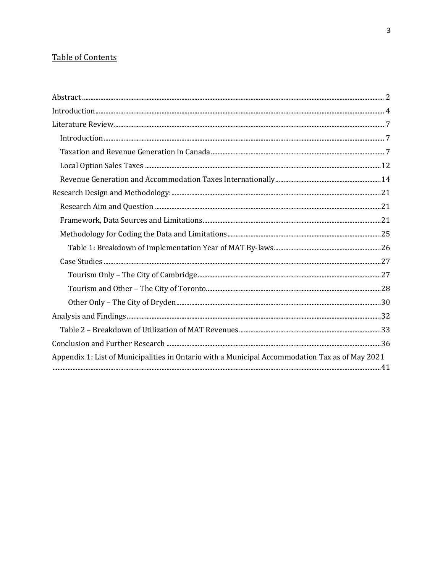### Table of Contents

| Appendix 1: List of Municipalities in Ontario with a Municipal Accommodation Tax as of May 2021 |  |
|-------------------------------------------------------------------------------------------------|--|
|                                                                                                 |  |
|                                                                                                 |  |
|                                                                                                 |  |
|                                                                                                 |  |
|                                                                                                 |  |
|                                                                                                 |  |
|                                                                                                 |  |
|                                                                                                 |  |
|                                                                                                 |  |
|                                                                                                 |  |
|                                                                                                 |  |
|                                                                                                 |  |
|                                                                                                 |  |
|                                                                                                 |  |
|                                                                                                 |  |
|                                                                                                 |  |
|                                                                                                 |  |
|                                                                                                 |  |
|                                                                                                 |  |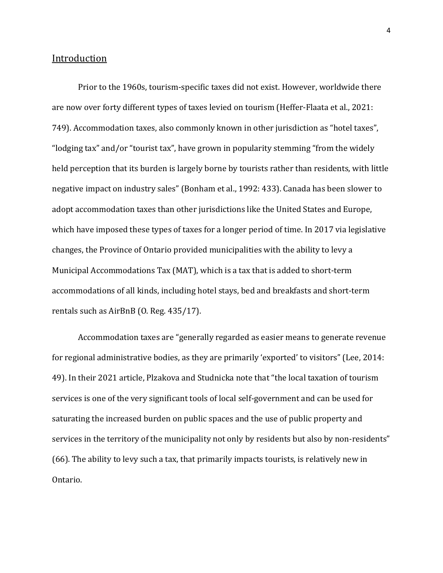#### <span id="page-4-0"></span>Introduction

Prior to the 1960s, tourism-specific taxes did not exist. However, worldwide there are now over forty different types of taxes levied on tourism (Heffer-Flaata et al., 2021: 749). Accommodation taxes, also commonly known in other jurisdiction as "hotel taxes", "lodging tax" and/or "tourist tax", have grown in popularity stemming "from the widely held perception that its burden is largely borne by tourists rather than residents, with little negative impact on industry sales" (Bonham et al., 1992: 433). Canada has been slower to adopt accommodation taxes than other jurisdictions like the United States and Europe, which have imposed these types of taxes for a longer period of time. In 2017 via legislative changes, the Province of Ontario provided municipalities with the ability to levy a Municipal Accommodations Tax (MAT), which is a tax that is added to short-term accommodations of all kinds, including hotel stays, bed and breakfasts and short-term rentals such as AirBnB (O. Reg. 435/17).

Accommodation taxes are "generally regarded as easier means to generate revenue for regional administrative bodies, as they are primarily 'exported' to visitors" (Lee, 2014: 49). In their 2021 article, Plzakova and Studnicka note that "the local taxation of tourism services is one of the very significant tools of local self-government and can be used for saturating the increased burden on public spaces and the use of public property and services in the territory of the municipality not only by residents but also by non-residents" (66). The ability to levy such a tax, that primarily impacts tourists, is relatively new in Ontario.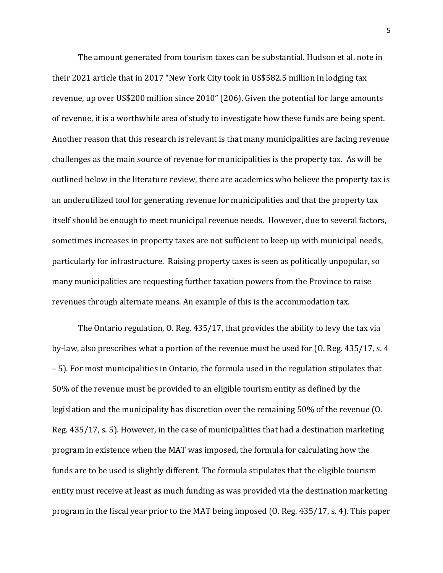The amount generated from tourism taxes can be substantial. Hudson et al. note in their 2021 article that in 2017 "New York City took in US\$582.5 million in lodging tax revenue, up over US\$200 million since 2010" (206). Given the potential for large amounts of revenue, it is a worthwhile area of study to investigate how these funds are being spent. Another reason that this research is relevant is that many municipalities are facing revenue challenges as the main source of revenue for municipalities is the property tax. As will be outlined below in the literature review, there are academics who believe the property tax is an underutilized tool for generating revenue for municipalities and that the property tax itself should be enough to meet municipal revenue needs. However, due to several factors, sometimes increases in property taxes are not sufficient to keep up with municipal needs, particularly for infrastructure. Raising property taxes is seen as politically unpopular, so many municipalities are requesting further taxation powers from the Province to raise revenues through alternate means. An example of this is the accommodation tax.

The Ontario regulation, O. Reg. 435/17, that provides the ability to levy the tax via by-law, also prescribes what a portion of the revenue must be used for (O. Reg. 435/17, s. 4 – 5). For most municipalities in Ontario, the formula used in the regulation stipulates that 50% of the revenue must be provided to an eligible tourism entity as defined by the legislation and the municipality has discretion over the remaining 50% of the revenue (O. Reg. 435/17, s. 5). However, in the case of municipalities that had a destination marketing program in existence when the MAT was imposed, the formula for calculating how the funds are to be used is slightly different. The formula stipulates that the eligible tourism entity must receive at least as much funding as was provided via the destination marketing program in the fiscal year prior to the MAT being imposed (O. Reg. 435/17, s. 4). This paper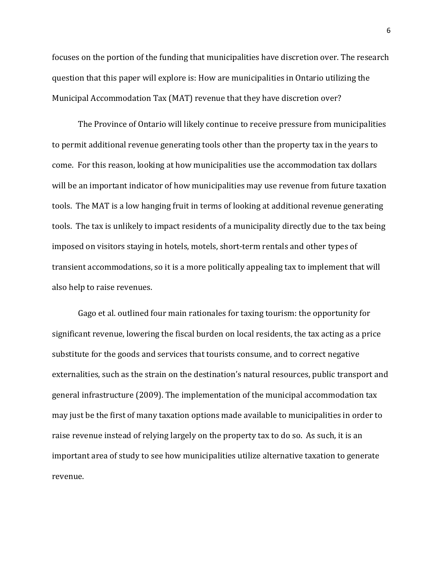focuses on the portion of the funding that municipalities have discretion over. The research question that this paper will explore is: How are municipalities in Ontario utilizing the Municipal Accommodation Tax (MAT) revenue that they have discretion over?

The Province of Ontario will likely continue to receive pressure from municipalities to permit additional revenue generating tools other than the property tax in the years to come. For this reason, looking at how municipalities use the accommodation tax dollars will be an important indicator of how municipalities may use revenue from future taxation tools. The MAT is a low hanging fruit in terms of looking at additional revenue generating tools. The tax is unlikely to impact residents of a municipality directly due to the tax being imposed on visitors staying in hotels, motels, short-term rentals and other types of transient accommodations, so it is a more politically appealing tax to implement that will also help to raise revenues.

Gago et al. outlined four main rationales for taxing tourism: the opportunity for significant revenue, lowering the fiscal burden on local residents, the tax acting as a price substitute for the goods and services that tourists consume, and to correct negative externalities, such as the strain on the destination's natural resources, public transport and general infrastructure (2009). The implementation of the municipal accommodation tax may just be the first of many taxation options made available to municipalities in order to raise revenue instead of relying largely on the property tax to do so. As such, it is an important area of study to see how municipalities utilize alternative taxation to generate revenue.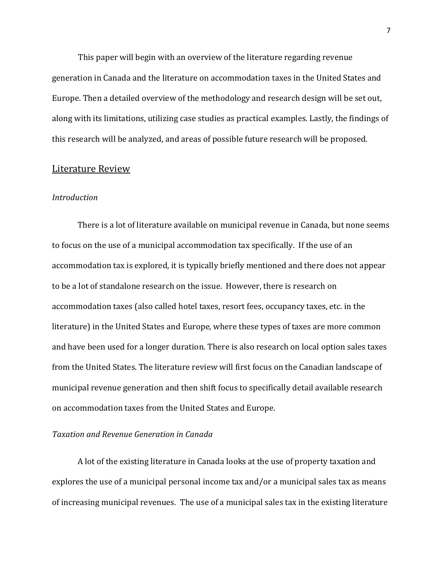This paper will begin with an overview of the literature regarding revenue generation in Canada and the literature on accommodation taxes in the United States and Europe. Then a detailed overview of the methodology and research design will be set out, along with its limitations, utilizing case studies as practical examples. Lastly, the findings of this research will be analyzed, and areas of possible future research will be proposed.

#### <span id="page-7-0"></span>Literature Review

#### <span id="page-7-1"></span>*Introduction*

There is a lot of literature available on municipal revenue in Canada, but none seems to focus on the use of a municipal accommodation tax specifically. If the use of an accommodation tax is explored, it is typically briefly mentioned and there does not appear to be a lot of standalone research on the issue. However, there is research on accommodation taxes (also called hotel taxes, resort fees, occupancy taxes, etc. in the literature) in the United States and Europe, where these types of taxes are more common and have been used for a longer duration. There is also research on local option sales taxes from the United States. The literature review will first focus on the Canadian landscape of municipal revenue generation and then shift focus to specifically detail available research on accommodation taxes from the United States and Europe.

#### <span id="page-7-2"></span>*Taxation and Revenue Generation in Canada*

A lot of the existing literature in Canada looks at the use of property taxation and explores the use of a municipal personal income tax and/or a municipal sales tax as means of increasing municipal revenues. The use of a municipal sales tax in the existing literature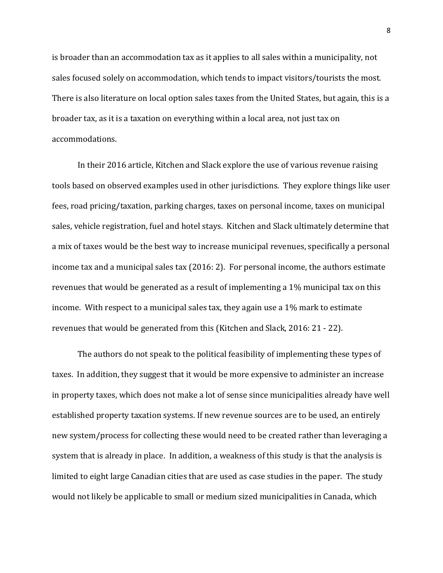is broader than an accommodation tax as it applies to all sales within a municipality, not sales focused solely on accommodation, which tends to impact visitors/tourists the most. There is also literature on local option sales taxes from the United States, but again, this is a broader tax, as it is a taxation on everything within a local area, not just tax on accommodations.

In their 2016 article, Kitchen and Slack explore the use of various revenue raising tools based on observed examples used in other jurisdictions. They explore things like user fees, road pricing/taxation, parking charges, taxes on personal income, taxes on municipal sales, vehicle registration, fuel and hotel stays. Kitchen and Slack ultimately determine that a mix of taxes would be the best way to increase municipal revenues, specifically a personal income tax and a municipal sales tax (2016: 2). For personal income, the authors estimate revenues that would be generated as a result of implementing a 1% municipal tax on this income. With respect to a municipal sales tax, they again use a 1% mark to estimate revenues that would be generated from this (Kitchen and Slack, 2016: 21 - 22).

The authors do not speak to the political feasibility of implementing these types of taxes. In addition, they suggest that it would be more expensive to administer an increase in property taxes, which does not make a lot of sense since municipalities already have well established property taxation systems. If new revenue sources are to be used, an entirely new system/process for collecting these would need to be created rather than leveraging a system that is already in place. In addition, a weakness of this study is that the analysis is limited to eight large Canadian cities that are used as case studies in the paper. The study would not likely be applicable to small or medium sized municipalities in Canada, which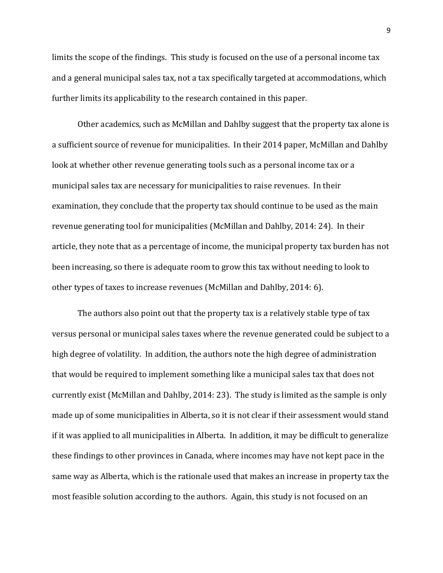limits the scope of the findings. This study is focused on the use of a personal income tax and a general municipal sales tax, not a tax specifically targeted at accommodations, which further limits its applicability to the research contained in this paper.

Other academics, such as McMillan and Dahlby suggest that the property tax alone is a sufficient source of revenue for municipalities. In their 2014 paper, McMillan and Dahlby look at whether other revenue generating tools such as a personal income tax or a municipal sales tax are necessary for municipalities to raise revenues. In their examination, they conclude that the property tax should continue to be used as the main revenue generating tool for municipalities (McMillan and Dahlby, 2014: 24). In their article, they note that as a percentage of income, the municipal property tax burden has not been increasing, so there is adequate room to grow this tax without needing to look to other types of taxes to increase revenues (McMillan and Dahlby, 2014: 6).

The authors also point out that the property tax is a relatively stable type of tax versus personal or municipal sales taxes where the revenue generated could be subject to a high degree of volatility. In addition, the authors note the high degree of administration that would be required to implement something like a municipal sales tax that does not currently exist (McMillan and Dahlby, 2014: 23). The study is limited as the sample is only made up of some municipalities in Alberta, so it is not clear if their assessment would stand if it was applied to all municipalities in Alberta. In addition, it may be difficult to generalize these findings to other provinces in Canada, where incomes may have not kept pace in the same way as Alberta, which is the rationale used that makes an increase in property tax the most feasible solution according to the authors. Again, this study is not focused on an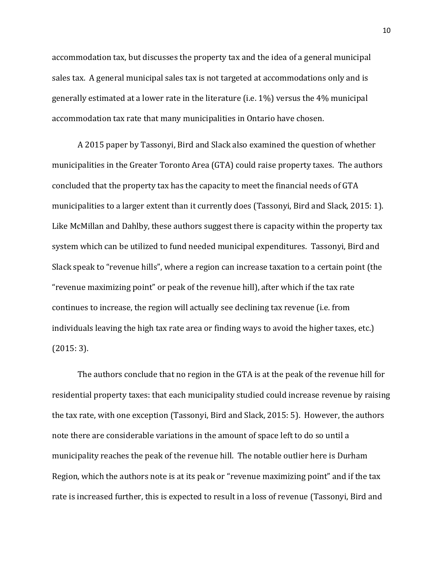accommodation tax, but discusses the property tax and the idea of a general municipal sales tax. A general municipal sales tax is not targeted at accommodations only and is generally estimated at a lower rate in the literature (i.e. 1%) versus the 4% municipal accommodation tax rate that many municipalities in Ontario have chosen.

A 2015 paper by Tassonyi, Bird and Slack also examined the question of whether municipalities in the Greater Toronto Area (GTA) could raise property taxes. The authors concluded that the property tax has the capacity to meet the financial needs of GTA municipalities to a larger extent than it currently does (Tassonyi, Bird and Slack, 2015: 1). Like McMillan and Dahlby, these authors suggest there is capacity within the property tax system which can be utilized to fund needed municipal expenditures. Tassonyi, Bird and Slack speak to "revenue hills", where a region can increase taxation to a certain point (the "revenue maximizing point" or peak of the revenue hill), after which if the tax rate continues to increase, the region will actually see declining tax revenue (i.e. from individuals leaving the high tax rate area or finding ways to avoid the higher taxes, etc.) (2015: 3).

The authors conclude that no region in the GTA is at the peak of the revenue hill for residential property taxes: that each municipality studied could increase revenue by raising the tax rate, with one exception (Tassonyi, Bird and Slack, 2015: 5). However, the authors note there are considerable variations in the amount of space left to do so until a municipality reaches the peak of the revenue hill. The notable outlier here is Durham Region, which the authors note is at its peak or "revenue maximizing point" and if the tax rate is increased further, this is expected to result in a loss of revenue (Tassonyi, Bird and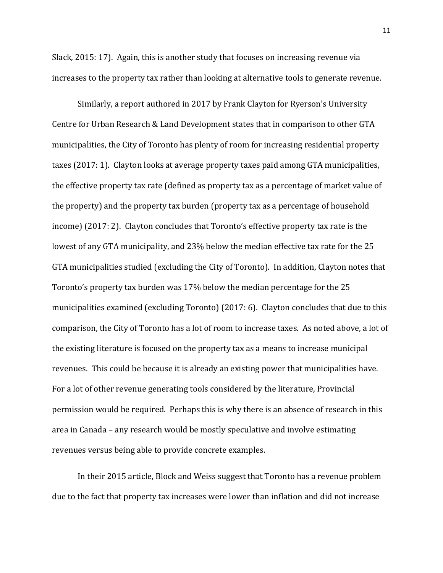Slack, 2015: 17). Again, this is another study that focuses on increasing revenue via increases to the property tax rather than looking at alternative tools to generate revenue.

Similarly, a report authored in 2017 by Frank Clayton for Ryerson's University Centre for Urban Research & Land Development states that in comparison to other GTA municipalities, the City of Toronto has plenty of room for increasing residential property taxes (2017: 1). Clayton looks at average property taxes paid among GTA municipalities, the effective property tax rate (defined as property tax as a percentage of market value of the property) and the property tax burden (property tax as a percentage of household income) (2017: 2). Clayton concludes that Toronto's effective property tax rate is the lowest of any GTA municipality, and 23% below the median effective tax rate for the 25 GTA municipalities studied (excluding the City of Toronto). In addition, Clayton notes that Toronto's property tax burden was 17% below the median percentage for the 25 municipalities examined (excluding Toronto) (2017: 6). Clayton concludes that due to this comparison, the City of Toronto has a lot of room to increase taxes. As noted above, a lot of the existing literature is focused on the property tax as a means to increase municipal revenues. This could be because it is already an existing power that municipalities have. For a lot of other revenue generating tools considered by the literature, Provincial permission would be required. Perhaps this is why there is an absence of research in this area in Canada – any research would be mostly speculative and involve estimating revenues versus being able to provide concrete examples.

In their 2015 article, Block and Weiss suggest that Toronto has a revenue problem due to the fact that property tax increases were lower than inflation and did not increase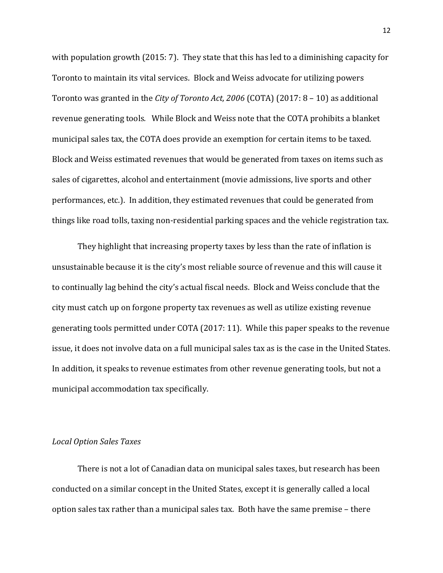with population growth (2015: 7). They state that this has led to a diminishing capacity for Toronto to maintain its vital services. Block and Weiss advocate for utilizing powers Toronto was granted in the *City of Toronto Act, 2006* (COTA) (2017: 8 – 10) as additional revenue generating tools*.* While Block and Weiss note that the COTA prohibits a blanket municipal sales tax, the COTA does provide an exemption for certain items to be taxed. Block and Weiss estimated revenues that would be generated from taxes on items such as sales of cigarettes, alcohol and entertainment (movie admissions, live sports and other performances, etc.). In addition, they estimated revenues that could be generated from things like road tolls, taxing non-residential parking spaces and the vehicle registration tax.

They highlight that increasing property taxes by less than the rate of inflation is unsustainable because it is the city's most reliable source of revenue and this will cause it to continually lag behind the city's actual fiscal needs. Block and Weiss conclude that the city must catch up on forgone property tax revenues as well as utilize existing revenue generating tools permitted under COTA (2017: 11). While this paper speaks to the revenue issue, it does not involve data on a full municipal sales tax as is the case in the United States. In addition, it speaks to revenue estimates from other revenue generating tools, but not a municipal accommodation tax specifically.

#### <span id="page-12-0"></span>*Local Option Sales Taxes*

There is not a lot of Canadian data on municipal sales taxes, but research has been conducted on a similar concept in the United States, except it is generally called a local option sales tax rather than a municipal sales tax. Both have the same premise – there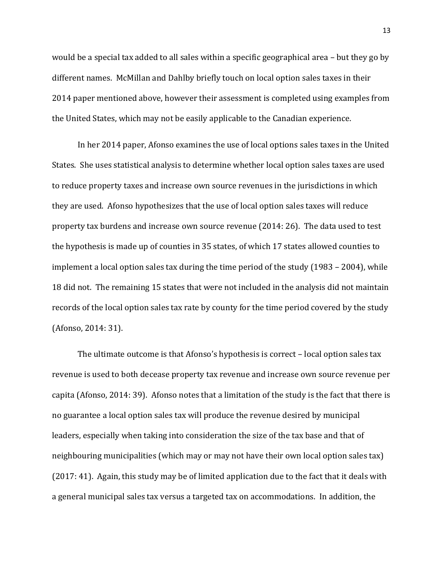would be a special tax added to all sales within a specific geographical area – but they go by different names. McMillan and Dahlby briefly touch on local option sales taxes in their 2014 paper mentioned above, however their assessment is completed using examples from the United States, which may not be easily applicable to the Canadian experience.

In her 2014 paper, Afonso examines the use of local options sales taxes in the United States. She uses statistical analysis to determine whether local option sales taxes are used to reduce property taxes and increase own source revenues in the jurisdictions in which they are used. Afonso hypothesizes that the use of local option sales taxes will reduce property tax burdens and increase own source revenue (2014: 26). The data used to test the hypothesis is made up of counties in 35 states, of which 17 states allowed counties to implement a local option sales tax during the time period of the study (1983 – 2004), while 18 did not. The remaining 15 states that were not included in the analysis did not maintain records of the local option sales tax rate by county for the time period covered by the study (Afonso, 2014: 31).

The ultimate outcome is that Afonso's hypothesis is correct – local option sales tax revenue is used to both decease property tax revenue and increase own source revenue per capita (Afonso, 2014: 39). Afonso notes that a limitation of the study is the fact that there is no guarantee a local option sales tax will produce the revenue desired by municipal leaders, especially when taking into consideration the size of the tax base and that of neighbouring municipalities (which may or may not have their own local option sales tax) (2017: 41). Again, this study may be of limited application due to the fact that it deals with a general municipal sales tax versus a targeted tax on accommodations. In addition, the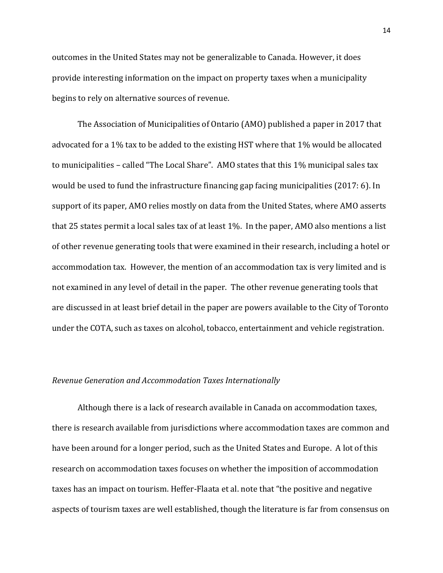outcomes in the United States may not be generalizable to Canada. However, it does provide interesting information on the impact on property taxes when a municipality begins to rely on alternative sources of revenue.

The Association of Municipalities of Ontario (AMO) published a paper in 2017 that advocated for a 1% tax to be added to the existing HST where that 1% would be allocated to municipalities – called "The Local Share". AMO states that this 1% municipal sales tax would be used to fund the infrastructure financing gap facing municipalities (2017: 6). In support of its paper, AMO relies mostly on data from the United States, where AMO asserts that 25 states permit a local sales tax of at least 1%. In the paper, AMO also mentions a list of other revenue generating tools that were examined in their research, including a hotel or accommodation tax. However, the mention of an accommodation tax is very limited and is not examined in any level of detail in the paper. The other revenue generating tools that are discussed in at least brief detail in the paper are powers available to the City of Toronto under the COTA, such as taxes on alcohol, tobacco, entertainment and vehicle registration.

#### <span id="page-14-0"></span>*Revenue Generation and Accommodation Taxes Internationally*

Although there is a lack of research available in Canada on accommodation taxes, there is research available from jurisdictions where accommodation taxes are common and have been around for a longer period, such as the United States and Europe. A lot of this research on accommodation taxes focuses on whether the imposition of accommodation taxes has an impact on tourism. Heffer-Flaata et al. note that "the positive and negative aspects of tourism taxes are well established, though the literature is far from consensus on

14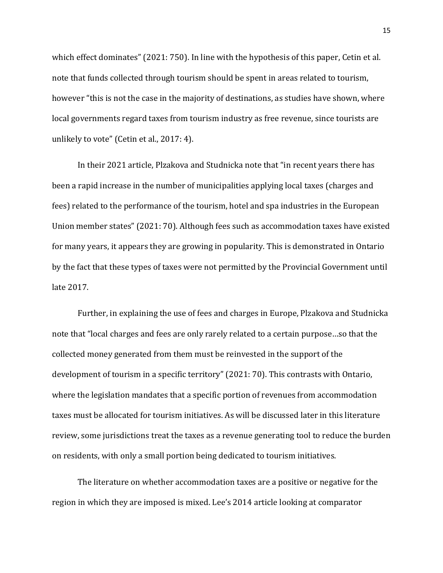which effect dominates" (2021: 750). In line with the hypothesis of this paper, Cetin et al. note that funds collected through tourism should be spent in areas related to tourism, however "this is not the case in the majority of destinations, as studies have shown, where local governments regard taxes from tourism industry as free revenue, since tourists are unlikely to vote" (Cetin et al., 2017: 4).

In their 2021 article, Plzakova and Studnicka note that "in recent years there has been a rapid increase in the number of municipalities applying local taxes (charges and fees) related to the performance of the tourism, hotel and spa industries in the European Union member states" (2021: 70). Although fees such as accommodation taxes have existed for many years, it appears they are growing in popularity. This is demonstrated in Ontario by the fact that these types of taxes were not permitted by the Provincial Government until late 2017.

Further, in explaining the use of fees and charges in Europe, Plzakova and Studnicka note that "local charges and fees are only rarely related to a certain purpose…so that the collected money generated from them must be reinvested in the support of the development of tourism in a specific territory" (2021: 70). This contrasts with Ontario, where the legislation mandates that a specific portion of revenues from accommodation taxes must be allocated for tourism initiatives. As will be discussed later in this literature review, some jurisdictions treat the taxes as a revenue generating tool to reduce the burden on residents, with only a small portion being dedicated to tourism initiatives.

The literature on whether accommodation taxes are a positive or negative for the region in which they are imposed is mixed. Lee's 2014 article looking at comparator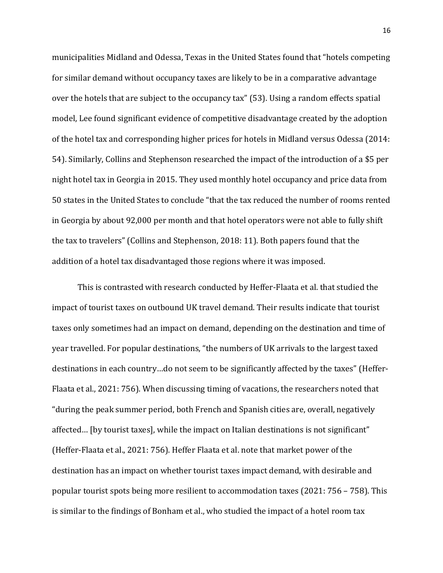municipalities Midland and Odessa, Texas in the United States found that "hotels competing for similar demand without occupancy taxes are likely to be in a comparative advantage over the hotels that are subject to the occupancy tax" (53). Using a random effects spatial model, Lee found significant evidence of competitive disadvantage created by the adoption of the hotel tax and corresponding higher prices for hotels in Midland versus Odessa (2014: 54). Similarly, Collins and Stephenson researched the impact of the introduction of a \$5 per night hotel tax in Georgia in 2015. They used monthly hotel occupancy and price data from 50 states in the United States to conclude "that the tax reduced the number of rooms rented in Georgia by about 92,000 per month and that hotel operators were not able to fully shift the tax to travelers" (Collins and Stephenson, 2018: 11). Both papers found that the addition of a hotel tax disadvantaged those regions where it was imposed.

This is contrasted with research conducted by Heffer-Flaata et al. that studied the impact of tourist taxes on outbound UK travel demand. Their results indicate that tourist taxes only sometimes had an impact on demand, depending on the destination and time of year travelled. For popular destinations, "the numbers of UK arrivals to the largest taxed destinations in each country…do not seem to be significantly affected by the taxes" (Heffer-Flaata et al., 2021: 756). When discussing timing of vacations, the researchers noted that "during the peak summer period, both French and Spanish cities are, overall, negatively affected… [by tourist taxes], while the impact on Italian destinations is not significant" (Heffer-Flaata et al., 2021: 756). Heffer Flaata et al. note that market power of the destination has an impact on whether tourist taxes impact demand, with desirable and popular tourist spots being more resilient to accommodation taxes (2021: 756 – 758). This is similar to the findings of Bonham et al., who studied the impact of a hotel room tax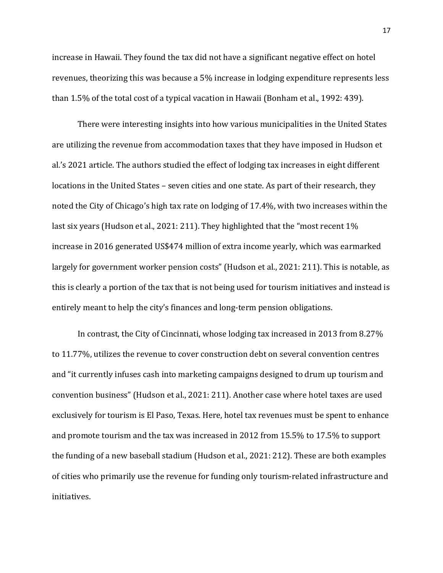increase in Hawaii. They found the tax did not have a significant negative effect on hotel revenues, theorizing this was because a 5% increase in lodging expenditure represents less than 1.5% of the total cost of a typical vacation in Hawaii (Bonham et al., 1992: 439).

There were interesting insights into how various municipalities in the United States are utilizing the revenue from accommodation taxes that they have imposed in Hudson et al.'s 2021 article. The authors studied the effect of lodging tax increases in eight different locations in the United States – seven cities and one state. As part of their research, they noted the City of Chicago's high tax rate on lodging of 17.4%, with two increases within the last six years (Hudson et al., 2021: 211). They highlighted that the "most recent 1% increase in 2016 generated US\$474 million of extra income yearly, which was earmarked largely for government worker pension costs" (Hudson et al., 2021: 211). This is notable, as this is clearly a portion of the tax that is not being used for tourism initiatives and instead is entirely meant to help the city's finances and long-term pension obligations.

In contrast, the City of Cincinnati, whose lodging tax increased in 2013 from 8.27% to 11.77%, utilizes the revenue to cover construction debt on several convention centres and "it currently infuses cash into marketing campaigns designed to drum up tourism and convention business" (Hudson et al., 2021: 211). Another case where hotel taxes are used exclusively for tourism is El Paso, Texas. Here, hotel tax revenues must be spent to enhance and promote tourism and the tax was increased in 2012 from 15.5% to 17.5% to support the funding of a new baseball stadium (Hudson et al., 2021: 212). These are both examples of cities who primarily use the revenue for funding only tourism-related infrastructure and initiatives.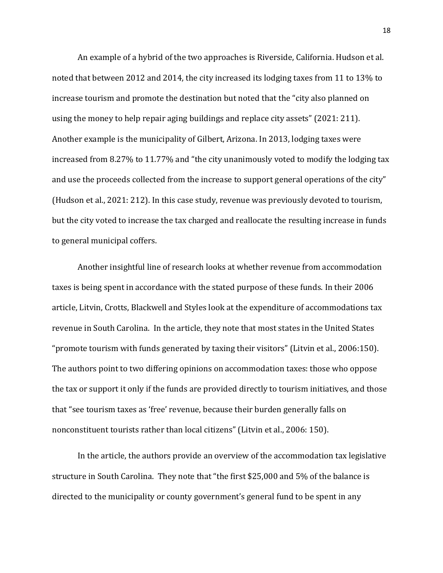An example of a hybrid of the two approaches is Riverside, California. Hudson et al. noted that between 2012 and 2014, the city increased its lodging taxes from 11 to 13% to increase tourism and promote the destination but noted that the "city also planned on using the money to help repair aging buildings and replace city assets" (2021: 211). Another example is the municipality of Gilbert, Arizona. In 2013, lodging taxes were increased from 8.27% to 11.77% and "the city unanimously voted to modify the lodging tax and use the proceeds collected from the increase to support general operations of the city" (Hudson et al., 2021: 212). In this case study, revenue was previously devoted to tourism, but the city voted to increase the tax charged and reallocate the resulting increase in funds to general municipal coffers.

Another insightful line of research looks at whether revenue from accommodation taxes is being spent in accordance with the stated purpose of these funds. In their 2006 article, Litvin, Crotts, Blackwell and Styles look at the expenditure of accommodations tax revenue in South Carolina. In the article, they note that most states in the United States "promote tourism with funds generated by taxing their visitors" (Litvin et al., 2006:150). The authors point to two differing opinions on accommodation taxes: those who oppose the tax or support it only if the funds are provided directly to tourism initiatives, and those that "see tourism taxes as 'free' revenue, because their burden generally falls on nonconstituent tourists rather than local citizens" (Litvin et al., 2006: 150).

In the article, the authors provide an overview of the accommodation tax legislative structure in South Carolina. They note that "the first \$25,000 and 5% of the balance is directed to the municipality or county government's general fund to be spent in any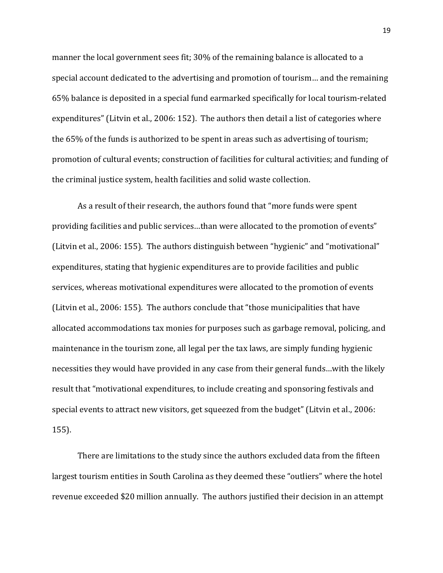manner the local government sees fit; 30% of the remaining balance is allocated to a special account dedicated to the advertising and promotion of tourism… and the remaining 65% balance is deposited in a special fund earmarked specifically for local tourism-related expenditures" (Litvin et al., 2006: 152). The authors then detail a list of categories where the 65% of the funds is authorized to be spent in areas such as advertising of tourism; promotion of cultural events; construction of facilities for cultural activities; and funding of the criminal justice system, health facilities and solid waste collection.

As a result of their research, the authors found that "more funds were spent providing facilities and public services…than were allocated to the promotion of events" (Litvin et al., 2006: 155). The authors distinguish between "hygienic" and "motivational" expenditures, stating that hygienic expenditures are to provide facilities and public services, whereas motivational expenditures were allocated to the promotion of events (Litvin et al., 2006: 155). The authors conclude that "those municipalities that have allocated accommodations tax monies for purposes such as garbage removal, policing, and maintenance in the tourism zone, all legal per the tax laws, are simply funding hygienic necessities they would have provided in any case from their general funds…with the likely result that "motivational expenditures, to include creating and sponsoring festivals and special events to attract new visitors, get squeezed from the budget" (Litvin et al., 2006: 155).

There are limitations to the study since the authors excluded data from the fifteen largest tourism entities in South Carolina as they deemed these "outliers" where the hotel revenue exceeded \$20 million annually. The authors justified their decision in an attempt

19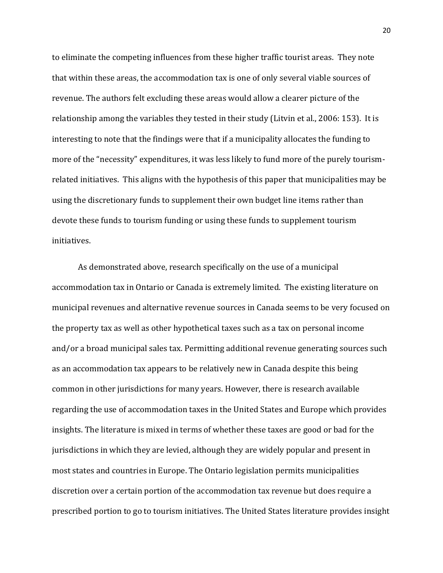to eliminate the competing influences from these higher traffic tourist areas. They note that within these areas, the accommodation tax is one of only several viable sources of revenue. The authors felt excluding these areas would allow a clearer picture of the relationship among the variables they tested in their study (Litvin et al., 2006: 153). It is interesting to note that the findings were that if a municipality allocates the funding to more of the "necessity" expenditures, it was less likely to fund more of the purely tourismrelated initiatives. This aligns with the hypothesis of this paper that municipalities may be using the discretionary funds to supplement their own budget line items rather than devote these funds to tourism funding or using these funds to supplement tourism initiatives.

As demonstrated above, research specifically on the use of a municipal accommodation tax in Ontario or Canada is extremely limited. The existing literature on municipal revenues and alternative revenue sources in Canada seems to be very focused on the property tax as well as other hypothetical taxes such as a tax on personal income and/or a broad municipal sales tax. Permitting additional revenue generating sources such as an accommodation tax appears to be relatively new in Canada despite this being common in other jurisdictions for many years. However, there is research available regarding the use of accommodation taxes in the United States and Europe which provides insights. The literature is mixed in terms of whether these taxes are good or bad for the jurisdictions in which they are levied, although they are widely popular and present in most states and countries in Europe. The Ontario legislation permits municipalities discretion over a certain portion of the accommodation tax revenue but does require a prescribed portion to go to tourism initiatives. The United States literature provides insight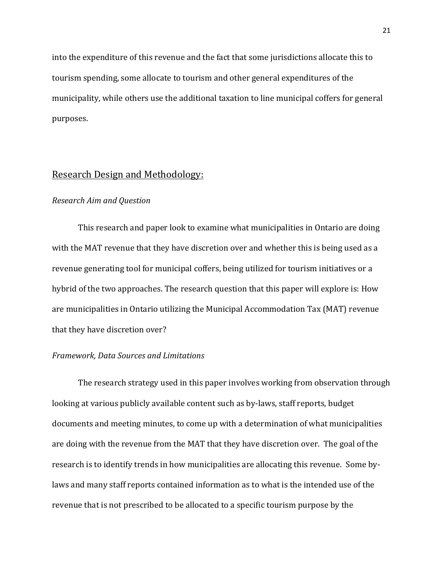into the expenditure of this revenue and the fact that some jurisdictions allocate this to tourism spending, some allocate to tourism and other general expenditures of the municipality, while others use the additional taxation to line municipal coffers for general purposes.

### <span id="page-21-0"></span>Research Design and Methodology:

#### <span id="page-21-1"></span>*Research Aim and Question*

This research and paper look to examine what municipalities in Ontario are doing with the MAT revenue that they have discretion over and whether this is being used as a revenue generating tool for municipal coffers, being utilized for tourism initiatives or a hybrid of the two approaches. The research question that this paper will explore is: How are municipalities in Ontario utilizing the Municipal Accommodation Tax (MAT) revenue that they have discretion over?

#### <span id="page-21-2"></span>*Framework, Data Sources and Limitations*

The research strategy used in this paper involves working from observation through looking at various publicly available content such as by-laws, staff reports, budget documents and meeting minutes, to come up with a determination of what municipalities are doing with the revenue from the MAT that they have discretion over. The goal of the research is to identify trends in how municipalities are allocating this revenue. Some bylaws and many staff reports contained information as to what is the intended use of the revenue that is not prescribed to be allocated to a specific tourism purpose by the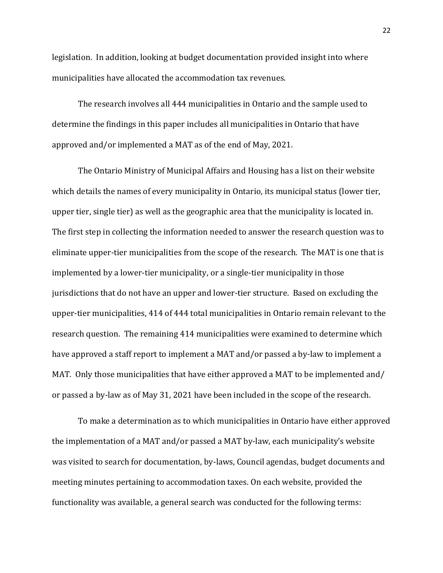legislation. In addition, looking at budget documentation provided insight into where municipalities have allocated the accommodation tax revenues.

The research involves all 444 municipalities in Ontario and the sample used to determine the findings in this paper includes all municipalities in Ontario that have approved and/or implemented a MAT as of the end of May, 2021.

The Ontario Ministry of Municipal Affairs and Housing has a list on their website which details the names of every municipality in Ontario, its municipal status (lower tier, upper tier, single tier) as well as the geographic area that the municipality is located in. The first step in collecting the information needed to answer the research question was to eliminate upper-tier municipalities from the scope of the research. The MAT is one that is implemented by a lower-tier municipality, or a single-tier municipality in those jurisdictions that do not have an upper and lower-tier structure. Based on excluding the upper-tier municipalities, 414 of 444 total municipalities in Ontario remain relevant to the research question. The remaining 414 municipalities were examined to determine which have approved a staff report to implement a MAT and/or passed a by-law to implement a MAT. Only those municipalities that have either approved a MAT to be implemented and/ or passed a by-law as of May 31, 2021 have been included in the scope of the research.

To make a determination as to which municipalities in Ontario have either approved the implementation of a MAT and/or passed a MAT by-law, each municipality's website was visited to search for documentation, by-laws, Council agendas, budget documents and meeting minutes pertaining to accommodation taxes. On each website, provided the functionality was available, a general search was conducted for the following terms: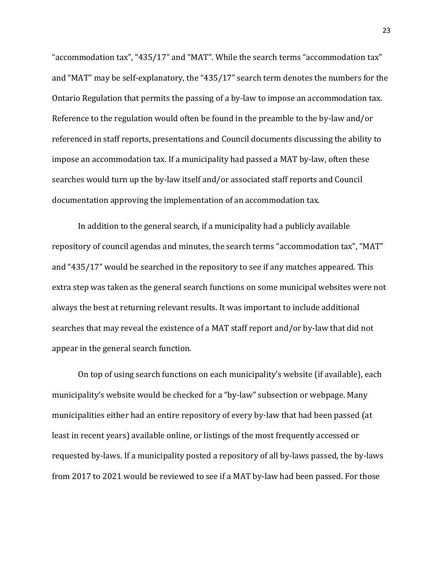"accommodation tax", "435/17" and "MAT". While the search terms "accommodation tax" and "MAT" may be self-explanatory, the "435/17" search term denotes the numbers for the Ontario Regulation that permits the passing of a by-law to impose an accommodation tax. Reference to the regulation would often be found in the preamble to the by-law and/or referenced in staff reports, presentations and Council documents discussing the ability to impose an accommodation tax. If a municipality had passed a MAT by-law, often these searches would turn up the by-law itself and/or associated staff reports and Council documentation approving the implementation of an accommodation tax.

In addition to the general search, if a municipality had a publicly available repository of council agendas and minutes, the search terms "accommodation tax", "MAT" and "435/17" would be searched in the repository to see if any matches appeared. This extra step was taken as the general search functions on some municipal websites were not always the best at returning relevant results. It was important to include additional searches that may reveal the existence of a MAT staff report and/or by-law that did not appear in the general search function.

On top of using search functions on each municipality's website (if available), each municipality's website would be checked for a "by-law" subsection or webpage. Many municipalities either had an entire repository of every by-law that had been passed (at least in recent years) available online, or listings of the most frequently accessed or requested by-laws. If a municipality posted a repository of all by-laws passed, the by-laws from 2017 to 2021 would be reviewed to see if a MAT by-law had been passed. For those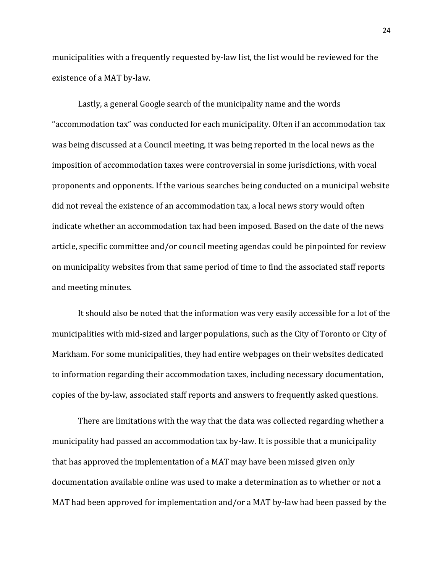municipalities with a frequently requested by-law list, the list would be reviewed for the existence of a MAT by-law.

Lastly, a general Google search of the municipality name and the words "accommodation tax" was conducted for each municipality. Often if an accommodation tax was being discussed at a Council meeting, it was being reported in the local news as the imposition of accommodation taxes were controversial in some jurisdictions, with vocal proponents and opponents. If the various searches being conducted on a municipal website did not reveal the existence of an accommodation tax, a local news story would often indicate whether an accommodation tax had been imposed. Based on the date of the news article, specific committee and/or council meeting agendas could be pinpointed for review on municipality websites from that same period of time to find the associated staff reports and meeting minutes.

It should also be noted that the information was very easily accessible for a lot of the municipalities with mid-sized and larger populations, such as the City of Toronto or City of Markham. For some municipalities, they had entire webpages on their websites dedicated to information regarding their accommodation taxes, including necessary documentation, copies of the by-law, associated staff reports and answers to frequently asked questions.

There are limitations with the way that the data was collected regarding whether a municipality had passed an accommodation tax by-law. It is possible that a municipality that has approved the implementation of a MAT may have been missed given only documentation available online was used to make a determination as to whether or not a MAT had been approved for implementation and/or a MAT by-law had been passed by the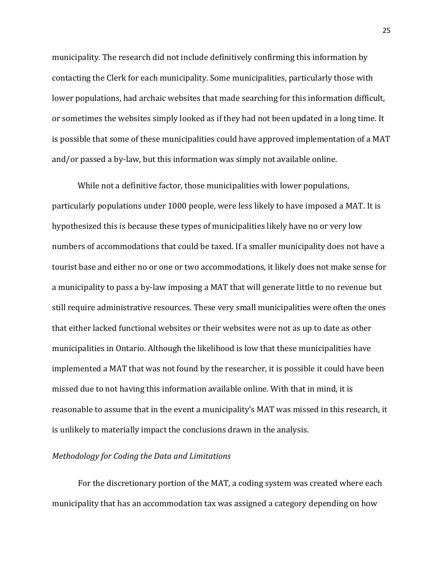municipality. The research did not include definitively confirming this information by contacting the Clerk for each municipality. Some municipalities, particularly those with lower populations, had archaic websites that made searching for this information difficult, or sometimes the websites simply looked as if they had not been updated in a long time. It is possible that some of these municipalities could have approved implementation of a MAT and/or passed a by-law, but this information was simply not available online.

While not a definitive factor, those municipalities with lower populations, particularly populations under 1000 people, were less likely to have imposed a MAT. It is hypothesized this is because these types of municipalities likely have no or very low numbers of accommodations that could be taxed. If a smaller municipality does not have a tourist base and either no or one or two accommodations, it likely does not make sense for a municipality to pass a by-law imposing a MAT that will generate little to no revenue but still require administrative resources. These very small municipalities were often the ones that either lacked functional websites or their websites were not as up to date as other municipalities in Ontario. Although the likelihood is low that these municipalities have implemented a MAT that was not found by the researcher, it is possible it could have been missed due to not having this information available online. With that in mind, it is reasonable to assume that in the event a municipality's MAT was missed in this research, it is unlikely to materially impact the conclusions drawn in the analysis.

#### <span id="page-25-0"></span>*Methodology for Coding the Data and Limitations*

For the discretionary portion of the MAT, a coding system was created where each municipality that has an accommodation tax was assigned a category depending on how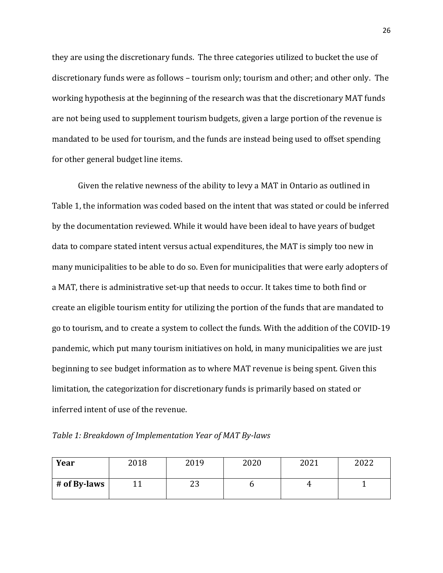they are using the discretionary funds. The three categories utilized to bucket the use of discretionary funds were as follows – tourism only; tourism and other; and other only. The working hypothesis at the beginning of the research was that the discretionary MAT funds are not being used to supplement tourism budgets, given a large portion of the revenue is mandated to be used for tourism, and the funds are instead being used to offset spending for other general budget line items.

Given the relative newness of the ability to levy a MAT in Ontario as outlined in Table 1, the information was coded based on the intent that was stated or could be inferred by the documentation reviewed. While it would have been ideal to have years of budget data to compare stated intent versus actual expenditures, the MAT is simply too new in many municipalities to be able to do so. Even for municipalities that were early adopters of a MAT, there is administrative set-up that needs to occur. It takes time to both find or create an eligible tourism entity for utilizing the portion of the funds that are mandated to go to tourism, and to create a system to collect the funds. With the addition of the COVID-19 pandemic, which put many tourism initiatives on hold, in many municipalities we are just beginning to see budget information as to where MAT revenue is being spent. Given this limitation, the categorization for discretionary funds is primarily based on stated or inferred intent of use of the revenue.

<span id="page-26-0"></span>*Table 1: Breakdown of Implementation Year of MAT By-laws*

| Year         | 2018 | 2019     | 2020 | ากา1<br>404 I | 2022 |
|--------------|------|----------|------|---------------|------|
| # of By-laws |      | ົ<br>ں ے |      |               |      |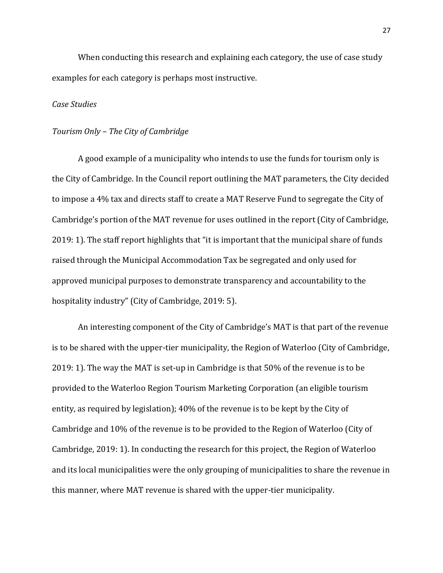When conducting this research and explaining each category, the use of case study examples for each category is perhaps most instructive.

#### <span id="page-27-0"></span>*Case Studies*

#### <span id="page-27-1"></span>*Tourism Only – The City of Cambridge*

A good example of a municipality who intends to use the funds for tourism only is the City of Cambridge. In the Council report outlining the MAT parameters, the City decided to impose a 4% tax and directs staff to create a MAT Reserve Fund to segregate the City of Cambridge's portion of the MAT revenue for uses outlined in the report (City of Cambridge, 2019: 1). The staff report highlights that "it is important that the municipal share of funds raised through the Municipal Accommodation Tax be segregated and only used for approved municipal purposes to demonstrate transparency and accountability to the hospitality industry" (City of Cambridge, 2019: 5).

An interesting component of the City of Cambridge's MAT is that part of the revenue is to be shared with the upper-tier municipality, the Region of Waterloo (City of Cambridge, 2019: 1). The way the MAT is set-up in Cambridge is that 50% of the revenue is to be provided to the Waterloo Region Tourism Marketing Corporation (an eligible tourism entity, as required by legislation); 40% of the revenue is to be kept by the City of Cambridge and 10% of the revenue is to be provided to the Region of Waterloo (City of Cambridge, 2019: 1). In conducting the research for this project, the Region of Waterloo and its local municipalities were the only grouping of municipalities to share the revenue in this manner, where MAT revenue is shared with the upper-tier municipality.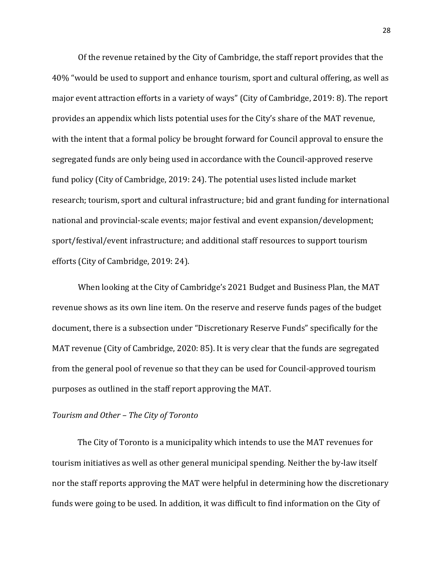Of the revenue retained by the City of Cambridge, the staff report provides that the 40% "would be used to support and enhance tourism, sport and cultural offering, as well as major event attraction efforts in a variety of ways" (City of Cambridge, 2019: 8). The report provides an appendix which lists potential uses for the City's share of the MAT revenue, with the intent that a formal policy be brought forward for Council approval to ensure the segregated funds are only being used in accordance with the Council-approved reserve fund policy (City of Cambridge, 2019: 24). The potential uses listed include market research; tourism, sport and cultural infrastructure; bid and grant funding for international national and provincial-scale events; major festival and event expansion/development; sport/festival/event infrastructure; and additional staff resources to support tourism efforts (City of Cambridge, 2019: 24).

When looking at the City of Cambridge's 2021 Budget and Business Plan, the MAT revenue shows as its own line item. On the reserve and reserve funds pages of the budget document, there is a subsection under "Discretionary Reserve Funds" specifically for the MAT revenue (City of Cambridge, 2020: 85). It is very clear that the funds are segregated from the general pool of revenue so that they can be used for Council-approved tourism purposes as outlined in the staff report approving the MAT.

#### <span id="page-28-0"></span>*Tourism and Other – The City of Toronto*

The City of Toronto is a municipality which intends to use the MAT revenues for tourism initiatives as well as other general municipal spending. Neither the by-law itself nor the staff reports approving the MAT were helpful in determining how the discretionary funds were going to be used. In addition, it was difficult to find information on the City of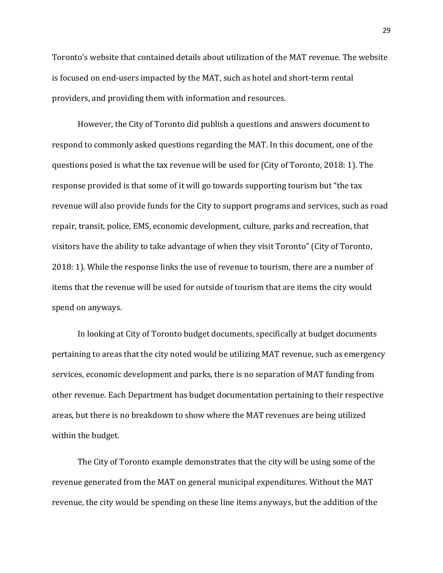Toronto's website that contained details about utilization of the MAT revenue. The website is focused on end-users impacted by the MAT, such as hotel and short-term rental providers, and providing them with information and resources.

However, the City of Toronto did publish a questions and answers document to respond to commonly asked questions regarding the MAT. In this document, one of the questions posed is what the tax revenue will be used for (City of Toronto, 2018: 1). The response provided is that some of it will go towards supporting tourism but "the tax revenue will also provide funds for the City to support programs and services, such as road repair, transit, police, EMS, economic development, culture, parks and recreation, that visitors have the ability to take advantage of when they visit Toronto" (City of Toronto, 2018: 1). While the response links the use of revenue to tourism, there are a number of items that the revenue will be used for outside of tourism that are items the city would spend on anyways.

In looking at City of Toronto budget documents, specifically at budget documents pertaining to areas that the city noted would be utilizing MAT revenue, such as emergency services, economic development and parks, there is no separation of MAT funding from other revenue. Each Department has budget documentation pertaining to their respective areas, but there is no breakdown to show where the MAT revenues are being utilized within the budget.

The City of Toronto example demonstrates that the city will be using some of the revenue generated from the MAT on general municipal expenditures. Without the MAT revenue, the city would be spending on these line items anyways, but the addition of the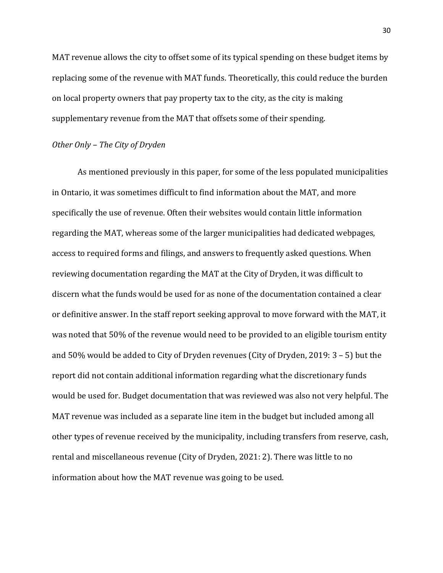MAT revenue allows the city to offset some of its typical spending on these budget items by replacing some of the revenue with MAT funds. Theoretically, this could reduce the burden on local property owners that pay property tax to the city, as the city is making supplementary revenue from the MAT that offsets some of their spending.

#### <span id="page-30-0"></span>*Other Only – The City of Dryden*

As mentioned previously in this paper, for some of the less populated municipalities in Ontario, it was sometimes difficult to find information about the MAT, and more specifically the use of revenue. Often their websites would contain little information regarding the MAT, whereas some of the larger municipalities had dedicated webpages, access to required forms and filings, and answers to frequently asked questions. When reviewing documentation regarding the MAT at the City of Dryden, it was difficult to discern what the funds would be used for as none of the documentation contained a clear or definitive answer. In the staff report seeking approval to move forward with the MAT, it was noted that 50% of the revenue would need to be provided to an eligible tourism entity and 50% would be added to City of Dryden revenues (City of Dryden, 2019: 3 – 5) but the report did not contain additional information regarding what the discretionary funds would be used for. Budget documentation that was reviewed was also not very helpful. The MAT revenue was included as a separate line item in the budget but included among all other types of revenue received by the municipality, including transfers from reserve, cash, rental and miscellaneous revenue (City of Dryden, 2021: 2). There was little to no information about how the MAT revenue was going to be used.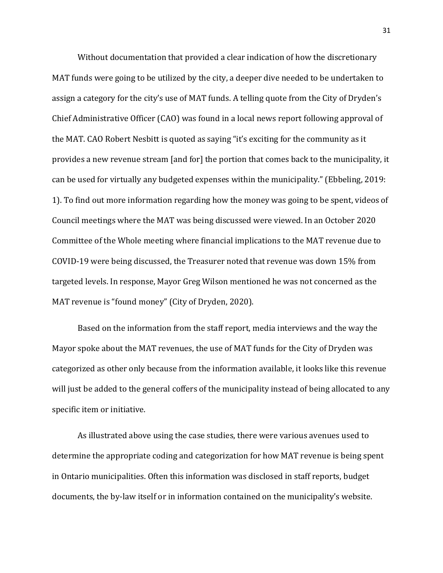Without documentation that provided a clear indication of how the discretionary MAT funds were going to be utilized by the city, a deeper dive needed to be undertaken to assign a category for the city's use of MAT funds. A telling quote from the City of Dryden's Chief Administrative Officer (CAO) was found in a local news report following approval of the MAT. CAO Robert Nesbitt is quoted as saying "it's exciting for the community as it provides a new revenue stream [and for] the portion that comes back to the municipality, it can be used for virtually any budgeted expenses within the municipality." (Ebbeling, 2019: 1). To find out more information regarding how the money was going to be spent, videos of Council meetings where the MAT was being discussed were viewed. In an October 2020 Committee of the Whole meeting where financial implications to the MAT revenue due to COVID-19 were being discussed, the Treasurer noted that revenue was down 15% from targeted levels. In response, Mayor Greg Wilson mentioned he was not concerned as the MAT revenue is "found money" (City of Dryden, 2020).

Based on the information from the staff report, media interviews and the way the Mayor spoke about the MAT revenues, the use of MAT funds for the City of Dryden was categorized as other only because from the information available, it looks like this revenue will just be added to the general coffers of the municipality instead of being allocated to any specific item or initiative.

As illustrated above using the case studies, there were various avenues used to determine the appropriate coding and categorization for how MAT revenue is being spent in Ontario municipalities. Often this information was disclosed in staff reports, budget documents, the by-law itself or in information contained on the municipality's website.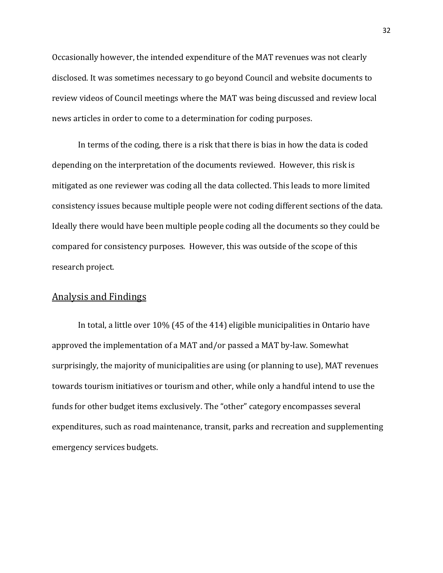Occasionally however, the intended expenditure of the MAT revenues was not clearly disclosed. It was sometimes necessary to go beyond Council and website documents to review videos of Council meetings where the MAT was being discussed and review local news articles in order to come to a determination for coding purposes.

In terms of the coding, there is a risk that there is bias in how the data is coded depending on the interpretation of the documents reviewed. However, this risk is mitigated as one reviewer was coding all the data collected. This leads to more limited consistency issues because multiple people were not coding different sections of the data. Ideally there would have been multiple people coding all the documents so they could be compared for consistency purposes. However, this was outside of the scope of this research project.

#### <span id="page-32-0"></span>Analysis and Findings

In total, a little over 10% (45 of the 414) eligible municipalities in Ontario have approved the implementation of a MAT and/or passed a MAT by-law. Somewhat surprisingly, the majority of municipalities are using (or planning to use), MAT revenues towards tourism initiatives or tourism and other, while only a handful intend to use the funds for other budget items exclusively. The "other" category encompasses several expenditures, such as road maintenance, transit, parks and recreation and supplementing emergency services budgets.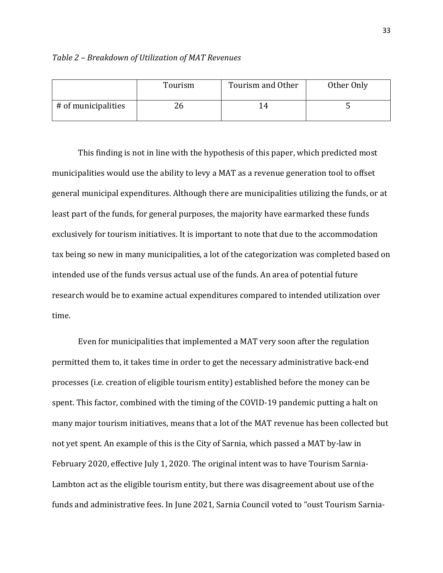#### <span id="page-33-0"></span>*Table 2 – Breakdown of Utilization of MAT Revenues*

|                     | Tourism | Tourism and Other     | Other Only |
|---------------------|---------|-----------------------|------------|
| # of municipalities | ۷b      | $\mathbf{1}_{\Delta}$ |            |

This finding is not in line with the hypothesis of this paper, which predicted most municipalities would use the ability to levy a MAT as a revenue generation tool to offset general municipal expenditures. Although there are municipalities utilizing the funds, or at least part of the funds, for general purposes, the majority have earmarked these funds exclusively for tourism initiatives. It is important to note that due to the accommodation tax being so new in many municipalities, a lot of the categorization was completed based on intended use of the funds versus actual use of the funds. An area of potential future research would be to examine actual expenditures compared to intended utilization over time.

Even for municipalities that implemented a MAT very soon after the regulation permitted them to, it takes time in order to get the necessary administrative back-end processes (i.e. creation of eligible tourism entity) established before the money can be spent. This factor, combined with the timing of the COVID-19 pandemic putting a halt on many major tourism initiatives, means that a lot of the MAT revenue has been collected but not yet spent. An example of this is the City of Sarnia, which passed a MAT by-law in February 2020, effective July 1, 2020. The original intent was to have Tourism Sarnia-Lambton act as the eligible tourism entity, but there was disagreement about use of the funds and administrative fees. In June 2021, Sarnia Council voted to "oust Tourism Sarnia-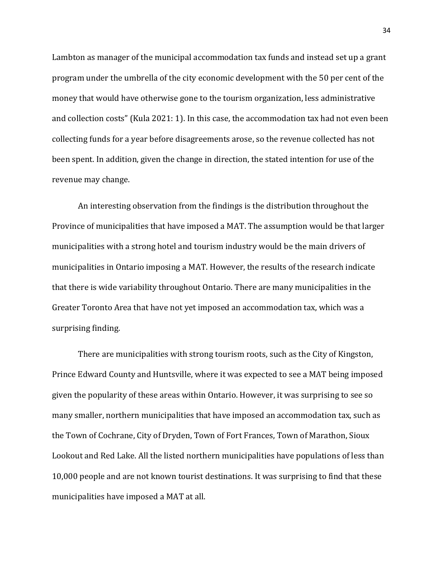Lambton as manager of the municipal accommodation tax funds and instead set up a grant program under the umbrella of the city economic development with the 50 per cent of the money that would have otherwise gone to the tourism organization, less administrative and collection costs" (Kula 2021: 1). In this case, the accommodation tax had not even been collecting funds for a year before disagreements arose, so the revenue collected has not been spent. In addition, given the change in direction, the stated intention for use of the revenue may change.

An interesting observation from the findings is the distribution throughout the Province of municipalities that have imposed a MAT. The assumption would be that larger municipalities with a strong hotel and tourism industry would be the main drivers of municipalities in Ontario imposing a MAT. However, the results of the research indicate that there is wide variability throughout Ontario. There are many municipalities in the Greater Toronto Area that have not yet imposed an accommodation tax, which was a surprising finding.

There are municipalities with strong tourism roots, such as the City of Kingston, Prince Edward County and Huntsville, where it was expected to see a MAT being imposed given the popularity of these areas within Ontario. However, it was surprising to see so many smaller, northern municipalities that have imposed an accommodation tax, such as the Town of Cochrane, City of Dryden, Town of Fort Frances, Town of Marathon, Sioux Lookout and Red Lake. All the listed northern municipalities have populations of less than 10,000 people and are not known tourist destinations. It was surprising to find that these municipalities have imposed a MAT at all.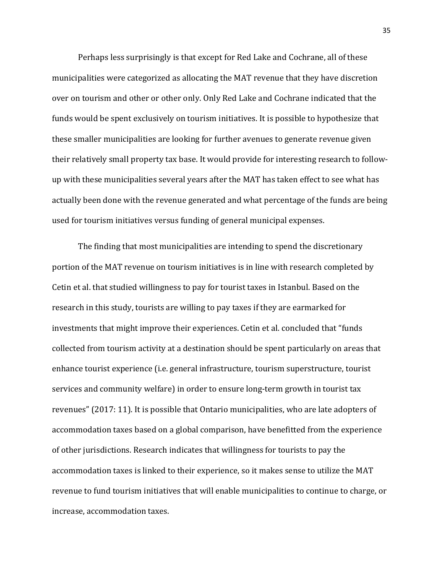Perhaps less surprisingly is that except for Red Lake and Cochrane, all of these municipalities were categorized as allocating the MAT revenue that they have discretion over on tourism and other or other only. Only Red Lake and Cochrane indicated that the funds would be spent exclusively on tourism initiatives. It is possible to hypothesize that these smaller municipalities are looking for further avenues to generate revenue given their relatively small property tax base. It would provide for interesting research to followup with these municipalities several years after the MAT has taken effect to see what has actually been done with the revenue generated and what percentage of the funds are being used for tourism initiatives versus funding of general municipal expenses.

The finding that most municipalities are intending to spend the discretionary portion of the MAT revenue on tourism initiatives is in line with research completed by Cetin et al. that studied willingness to pay for tourist taxes in Istanbul. Based on the research in this study, tourists are willing to pay taxes if they are earmarked for investments that might improve their experiences. Cetin et al. concluded that "funds collected from tourism activity at a destination should be spent particularly on areas that enhance tourist experience (i.e. general infrastructure, tourism superstructure, tourist services and community welfare) in order to ensure long-term growth in tourist tax revenues" (2017: 11). It is possible that Ontario municipalities, who are late adopters of accommodation taxes based on a global comparison, have benefitted from the experience of other jurisdictions. Research indicates that willingness for tourists to pay the accommodation taxes is linked to their experience, so it makes sense to utilize the MAT revenue to fund tourism initiatives that will enable municipalities to continue to charge, or increase, accommodation taxes.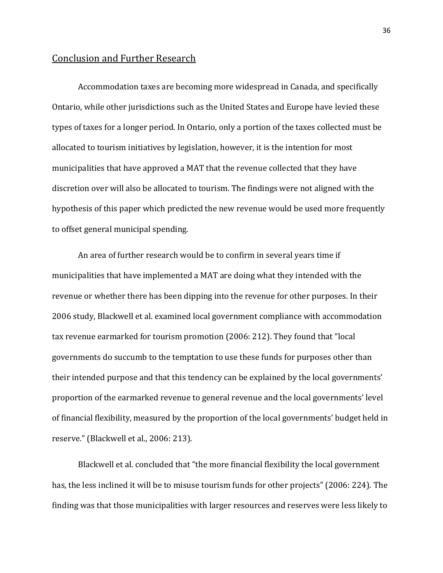#### <span id="page-36-0"></span>Conclusion and Further Research

Accommodation taxes are becoming more widespread in Canada, and specifically Ontario, while other jurisdictions such as the United States and Europe have levied these types of taxes for a longer period. In Ontario, only a portion of the taxes collected must be allocated to tourism initiatives by legislation, however, it is the intention for most municipalities that have approved a MAT that the revenue collected that they have discretion over will also be allocated to tourism. The findings were not aligned with the hypothesis of this paper which predicted the new revenue would be used more frequently to offset general municipal spending.

An area of further research would be to confirm in several years time if municipalities that have implemented a MAT are doing what they intended with the revenue or whether there has been dipping into the revenue for other purposes. In their 2006 study, Blackwell et al. examined local government compliance with accommodation tax revenue earmarked for tourism promotion (2006: 212). They found that "local governments do succumb to the temptation to use these funds for purposes other than their intended purpose and that this tendency can be explained by the local governments' proportion of the earmarked revenue to general revenue and the local governments' level of financial flexibility, measured by the proportion of the local governments' budget held in reserve." (Blackwell et al., 2006: 213).

Blackwell et al. concluded that "the more financial flexibility the local government has, the less inclined it will be to misuse tourism funds for other projects" (2006: 224). The finding was that those municipalities with larger resources and reserves were less likely to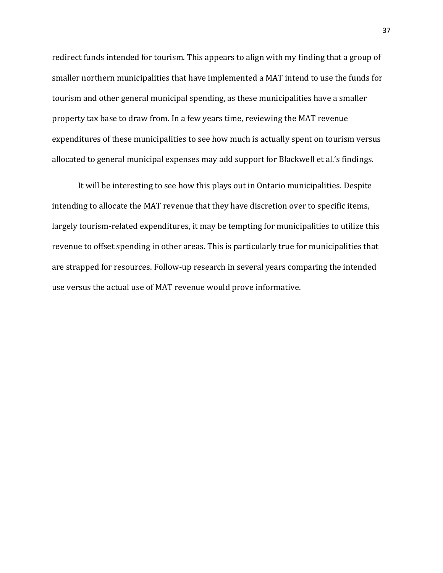redirect funds intended for tourism. This appears to align with my finding that a group of smaller northern municipalities that have implemented a MAT intend to use the funds for tourism and other general municipal spending, as these municipalities have a smaller property tax base to draw from. In a few years time, reviewing the MAT revenue expenditures of these municipalities to see how much is actually spent on tourism versus allocated to general municipal expenses may add support for Blackwell et al.'s findings.

It will be interesting to see how this plays out in Ontario municipalities. Despite intending to allocate the MAT revenue that they have discretion over to specific items, largely tourism-related expenditures, it may be tempting for municipalities to utilize this revenue to offset spending in other areas. This is particularly true for municipalities that are strapped for resources. Follow-up research in several years comparing the intended use versus the actual use of MAT revenue would prove informative.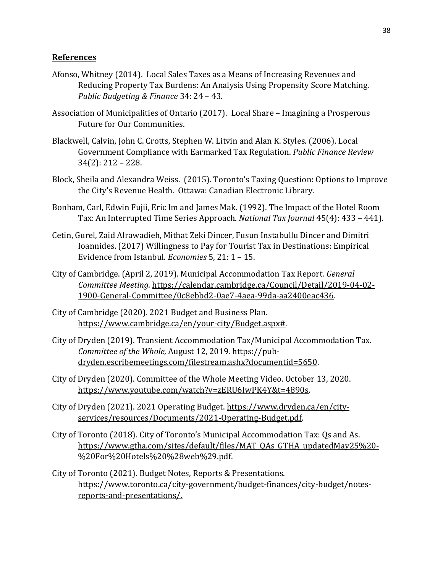#### **References**

- Afonso, Whitney (2014). Local Sales Taxes as a Means of Increasing Revenues and Reducing Property Tax Burdens: An Analysis Using Propensity Score Matching. *Public Budgeting & Finance* 34: 24 – 43.
- Association of Municipalities of Ontario (2017). Local Share Imagining a Prosperous Future for Our Communities.
- Blackwell, Calvin, John C. Crotts, Stephen W. Litvin and Alan K. Styles. (2006). Local Government Compliance with Earmarked Tax Regulation. *Public Finance Review*  34(2): 212 – 228.
- Block, Sheila and Alexandra Weiss. (2015). Toronto's Taxing Question: Options to Improve the City's Revenue Health. Ottawa: Canadian Electronic Library.
- Bonham, Carl, Edwin Fujii, Eric Im and James Mak. (1992). The Impact of the Hotel Room Tax: An Interrupted Time Series Approach. *National Tax Journal* 45(4): 433 – 441).
- Cetin, Gurel, Zaid Alrawadieh, Mithat Zeki Dincer, Fusun Instabullu Dincer and Dimitri Ioannides. (2017) Willingness to Pay for Tourist Tax in Destinations: Empirical Evidence from Istanbul. *Economies* 5, 21: 1 – 15.
- City of Cambridge. (April 2, 2019). Municipal Accommodation Tax Report. *General Committee Meeting.* [https://calendar.cambridge.ca/Council/Detail/2019-04-02-](https://calendar.cambridge.ca/Council/Detail/2019-04-02-1900-General-Committee/0c8ebbd2-0ae7-4aea-99da-aa2400eac436) [1900-General-Committee/0c8ebbd2-0ae7-4aea-99da-aa2400eac436.](https://calendar.cambridge.ca/Council/Detail/2019-04-02-1900-General-Committee/0c8ebbd2-0ae7-4aea-99da-aa2400eac436)
- City of Cambridge (2020). 2021 Budget and Business Plan. [https://www.cambridge.ca/en/your-city/Budget.aspx#.](https://www.cambridge.ca/en/your-city/Budget.aspx)
- City of Dryden (2019). Transient Accommodation Tax/Municipal Accommodation Tax. *Committee of the Whole,* August 12, 2019. [https://pub](https://pub-dryden.escribemeetings.com/filestream.ashx?documentid=5650)[dryden.escribemeetings.com/filestream.ashx?documentid=5650.](https://pub-dryden.escribemeetings.com/filestream.ashx?documentid=5650)
- City of Dryden (2020). Committee of the Whole Meeting Video. October 13, 2020. [https://www.youtube.com/watch?v=zERU6IwPK4Y&t=4890s.](https://www.youtube.com/watch?v=zERU6IwPK4Y&t=4890s)
- City of Dryden (2021). 2021 Operating Budget. [https://www.dryden.ca/en/city](https://www.dryden.ca/en/city-services/resources/Documents/2021-Operating-Budget.pdf)[services/resources/Documents/2021-Operating-Budget.pdf.](https://www.dryden.ca/en/city-services/resources/Documents/2021-Operating-Budget.pdf)
- City of Toronto (2018). City of Toronto's Municipal Accommodation Tax: Qs and As. [https://www.gtha.com/sites/default/files/MAT\\_QAs\\_GTHA\\_updatedMay25%20-](https://www.gtha.com/sites/default/files/MAT_QAs_GTHA_updatedMay25%20-%20For%20Hotels%20%28web%29.pdf) [%20For%20Hotels%20%28web%29.pdf.](https://www.gtha.com/sites/default/files/MAT_QAs_GTHA_updatedMay25%20-%20For%20Hotels%20%28web%29.pdf)
- City of Toronto (2021). Budget Notes, Reports & Presentations. https://www.toronto.ca/city-government/budget-finances/city-budget/notesreports-and-presentations/.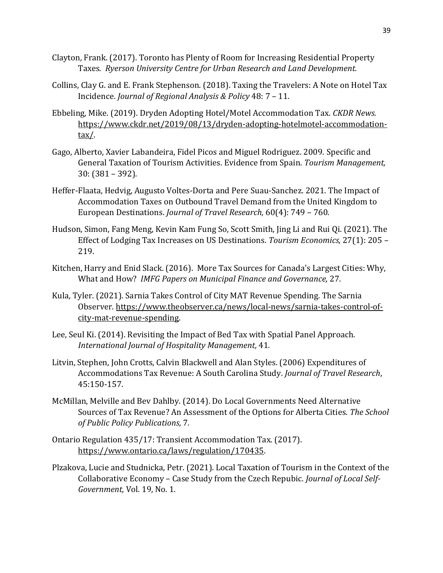- Clayton, Frank. (2017). Toronto has Plenty of Room for Increasing Residential Property Taxes. *Ryerson University Centre for Urban Research and Land Development.*
- Collins, Clay G. and E. Frank Stephenson. (2018). Taxing the Travelers: A Note on Hotel Tax Incidence. *Journal of Regional Analysis & Policy* 48: 7 – 11.
- Ebbeling, Mike. (2019). Dryden Adopting Hotel/Motel Accommodation Tax. *CKDR News.* [https://www.ckdr.net/2019/08/13/dryden-adopting-hotelmotel-accommodation](https://www.ckdr.net/2019/08/13/dryden-adopting-hotelmotel-accommodation-tax/)[tax/.](https://www.ckdr.net/2019/08/13/dryden-adopting-hotelmotel-accommodation-tax/)
- Gago, Alberto, Xavier Labandeira, Fidel Picos and Miguel Rodriguez. 2009. Specific and General Taxation of Tourism Activities. Evidence from Spain. *Tourism Management,*  30: (381 – 392).
- Heffer-Flaata, Hedvig, Augusto Voltes-Dorta and Pere Suau-Sanchez. 2021. The Impact of Accommodation Taxes on Outbound Travel Demand from the United Kingdom to European Destinations. *Journal of Travel Research,* 60(4): 749 – 760*.*
- Hudson, Simon, Fang Meng, Kevin Kam Fung So, Scott Smith, Jing Li and Rui Qi. (2021). The Effect of Lodging Tax Increases on US Destinations. *Tourism Economics,* 27(1): 205 – 219.
- Kitchen, Harry and Enid Slack. (2016). More Tax Sources for Canada's Largest Cities: Why, What and How? *IMFG Papers on Municipal Finance and Governance,* 27.
- Kula, Tyler. (2021). Sarnia Takes Control of City MAT Revenue Spending. The Sarnia Observer. [https://www.theobserver.ca/news/local-news/sarnia-takes-control-of](https://www.theobserver.ca/news/local-news/sarnia-takes-control-of-city-mat-revenue-spending)[city-mat-revenue-spending.](https://www.theobserver.ca/news/local-news/sarnia-takes-control-of-city-mat-revenue-spending)
- Lee, Seul Ki. (2014). Revisiting the Impact of Bed Tax with Spatial Panel Approach. *International Journal of Hospitality Management,* 41*.*
- Litvin, Stephen, John Crotts, Calvin Blackwell and Alan Styles. (2006) Expenditures of Accommodations Tax Revenue: A South Carolina Study. *Journal of Travel Research*, 45:150-157.
- McMillan, Melville and Bev Dahlby. (2014). Do Local Governments Need Alternative Sources of Tax Revenue? An Assessment of the Options for Alberta Cities. *The School of Public Policy Publications,* 7*.*
- Ontario Regulation 435/17: Transient Accommodation Tax. (2017). [https://www.ontario.ca/laws/regulation/170435.](https://www.ontario.ca/laws/regulation/170435)
- Plzakova, Lucie and Studnicka, Petr. (2021). Local Taxation of Tourism in the Context of the Collaborative Economy – Case Study from the Czech Repubic. *Journal of Local Self-Government,* Vol. 19, No. 1*.*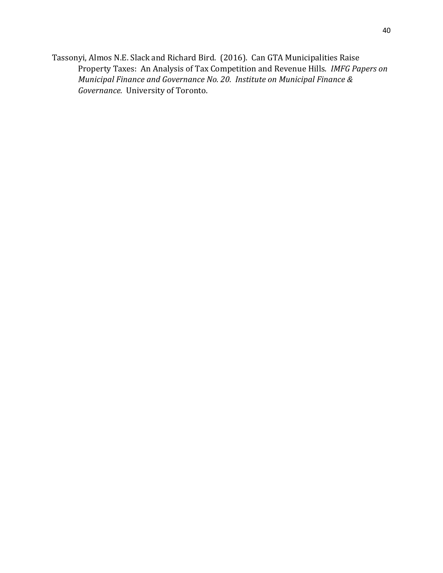Tassonyi, Almos N.E. Slack and Richard Bird. (2016). Can GTA Municipalities Raise Property Taxes: An Analysis of Tax Competition and Revenue Hills. *IMFG Papers on Municipal Finance and Governance No. 20. Institute on Municipal Finance & Governance.* University of Toronto.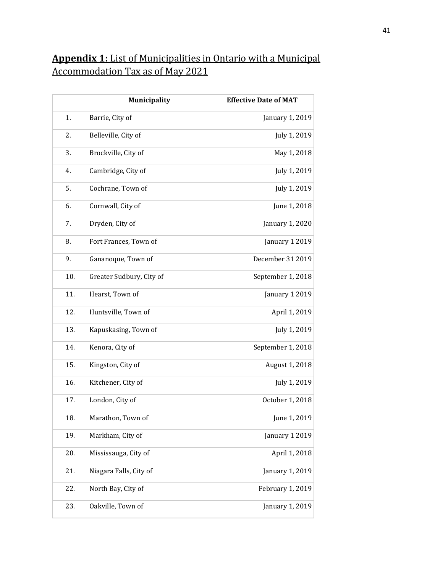## <span id="page-41-0"></span>**Appendix 1:** List of Municipalities in Ontario with a Municipal Accommodation Tax as of May 2021

|     | Municipality             | <b>Effective Date of MAT</b> |
|-----|--------------------------|------------------------------|
| 1.  | Barrie, City of          | January 1, 2019              |
| 2.  | Belleville, City of      | July 1, 2019                 |
| 3.  | Brockville, City of      | May 1, 2018                  |
| 4.  | Cambridge, City of       | July 1, 2019                 |
| 5.  | Cochrane, Town of        | July 1, 2019                 |
| 6.  | Cornwall, City of        | June 1, 2018                 |
| 7.  | Dryden, City of          | January 1, 2020              |
| 8.  | Fort Frances, Town of    | January 1 2019               |
| 9.  | Gananoque, Town of       | December 31 2019             |
| 10. | Greater Sudbury, City of | September 1, 2018            |
| 11. | Hearst, Town of          | January 1 2019               |
| 12. | Huntsville, Town of      | April 1, 2019                |
| 13. | Kapuskasing, Town of     | July 1, 2019                 |
| 14. | Kenora, City of          | September 1, 2018            |
| 15. | Kingston, City of        | August 1, 2018               |
| 16. | Kitchener, City of       | July 1, 2019                 |
| 17. | London, City of          | October 1, 2018              |
| 18. | Marathon, Town of        | June 1, 2019                 |
| 19. | Markham, City of         | January 1 2019               |
| 20. | Mississauga, City of     | April 1, 2018                |
| 21. | Niagara Falls, City of   | January 1, 2019              |
| 22. | North Bay, City of       | February 1, 2019             |
| 23. | Oakville, Town of        | January 1, 2019              |